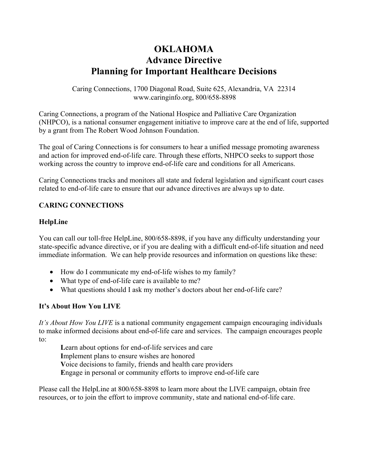# **OKLAHOMA Advance Directive Planning for Important Healthcare Decisions**

Caring Connections, 1700 Diagonal Road, Suite 625, Alexandria, VA 22314 www.caringinfo.org, 800/658-8898

Caring Connections, a program of the National Hospice and Palliative Care Organization (NHPCO), is a national consumer engagement initiative to improve care at the end of life, supported by a grant from The Robert Wood Johnson Foundation.

The goal of Caring Connections is for consumers to hear a unified message promoting awareness and action for improved end-of-life care. Through these efforts, NHPCO seeks to support those working across the country to improve end-of-life care and conditions for all Americans.

Caring Connections tracks and monitors all state and federal legislation and significant court cases related to end-of-life care to ensure that our advance directives are always up to date.

# **CARING CONNECTIONS**

## **HelpLine**

You can call our toll-free HelpLine, 800/658-8898, if you have any difficulty understanding your state-specific advance directive, or if you are dealing with a difficult end-of-life situation and need immediate information. We can help provide resources and information on questions like these:

- How do I communicate my end-of-life wishes to my family?
- What type of end-of-life care is available to me?
- What questions should I ask my mother's doctors about her end-of-life care?

## **It's About How You LIVE**

*It's About How You LIVE* is a national community engagement campaign encouraging individuals to make informed decisions about end-of-life care and services. The campaign encourages people to:

Learn about options for end-of-life services and care **I**mplement plans to ensure wishes are honored **V**oice decisions to family, friends and health care providers **E**ngage in personal or community efforts to improve end-of-life care

Please call the HelpLine at 800/658-8898 to learn more about the LIVE campaign, obtain free resources, or to join the effort to improve community, state and national end-of-life care.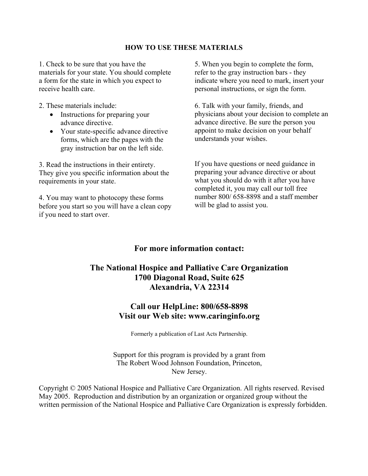#### **HOW TO USE THESE MATERIALS**

1. Check to be sure that you have the materials for your state. You should complete a form for the state in which you expect to receive health care.

2. These materials include:

- Instructions for preparing your advance directive.
- Your state-specific advance directive forms, which are the pages with the gray instruction bar on the left side.

3. Read the instructions in their entirety. They give you specific information about the requirements in your state.

4. You may want to photocopy these forms before you start so you will have a clean copy if you need to start over.

5. When you begin to complete the form, refer to the gray instruction bars - they indicate where you need to mark, insert your personal instructions, or sign the form.

6. Talk with your family, friends, and physicians about your decision to complete an advance directive. Be sure the person you appoint to make decision on your behalf understands your wishes.

If you have questions or need guidance in preparing your advance directive or about what you should do with it after you have completed it, you may call our toll free number 800/ 658-8898 and a staff member will be glad to assist you.

# **For more information contact:**

# **The National Hospice and Palliative Care Organization 1700 Diagonal Road, Suite 625 Alexandria, VA 22314**

# **Call our HelpLine: 800/658-8898 Visit our Web site: www.caringinfo.org**

Formerly a publication of Last Acts Partnership.

Support for this program is provided by a grant from The Robert Wood Johnson Foundation, Princeton, New Jersey.

Copyright © 2005 National Hospice and Palliative Care Organization. All rights reserved. Revised May 2005. Reproduction and distribution by an organization or organized group without the written permission of the National Hospice and Palliative Care Organization is expressly forbidden.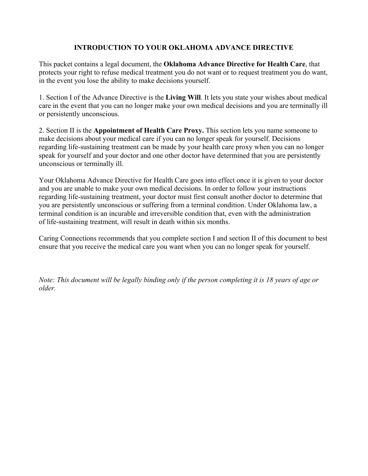# **INTRODUCTION TO YOUR OKLAHOMA ADVANCE DIRECTIVE**

This packet contains a legal document, the **Oklahoma Advance Directive for Health Care**, that protects your right to refuse medical treatment you do not want or to request treatment you do want, in the event you lose the ability to make decisions yourself.

1. Section I of the Advance Directive is the **Living Will**. It lets you state your wishes about medical care in the event that you can no longer make your own medical decisions and you are terminally ill or persistently unconscious.

2. Section II is the **Appointment of Health Care Proxy.** This section lets you name someone to make decisions about your medical care if you can no longer speak for yourself. Decisions regarding life-sustaining treatment can be made by your health care proxy when you can no longer speak for yourself and your doctor and one other doctor have determined that you are persistently unconscious or terminally ill.

Your Oklahoma Advance Directive for Health Care goes into effect once it is given to your doctor and you are unable to make your own medical decisions. In order to follow your instructions regarding life-sustaining treatment, your doctor must first consult another doctor to determine that you are persistently unconscious or suffering from a terminal condition. Under Oklahoma law, a terminal condition is an incurable and irreversible condition that, even with the administration of life-sustaining treatment, will result in death within six months.

Caring Connections recommends that you complete section I and section II of this document to best ensure that you receive the medical care you want when you can no longer speak for yourself.

*Note: This document will be legally binding only if the person completing it is 18 years of age or older.*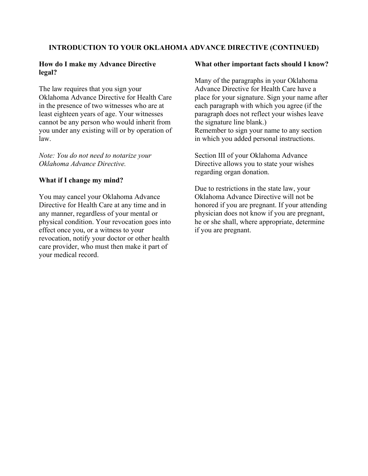#### **INTRODUCTION TO YOUR OKLAHOMA ADVANCE DIRECTIVE (CONTINUED)**

#### **How do I make my Advance Directive legal?**

The law requires that you sign your Oklahoma Advance Directive for Health Care in the presence of two witnesses who are at least eighteen years of age. Your witnesses cannot be any person who would inherit from you under any existing will or by operation of law.

*Note: You do not need to notarize your Oklahoma Advance Directive.* 

#### **What if I change my mind?**

You may cancel your Oklahoma Advance Directive for Health Care at any time and in any manner, regardless of your mental or physical condition. Your revocation goes into effect once you, or a witness to your revocation, notify your doctor or other health care provider, who must then make it part of your medical record.

#### **What other important facts should I know?**

Many of the paragraphs in your Oklahoma Advance Directive for Health Care have a place for your signature. Sign your name after each paragraph with which you agree (if the paragraph does not reflect your wishes leave the signature line blank.) Remember to sign your name to any section in which you added personal instructions.

Section III of your Oklahoma Advance Directive allows you to state your wishes regarding organ donation.

Due to restrictions in the state law, your Oklahoma Advance Directive will not be honored if you are pregnant. If your attending physician does not know if you are pregnant, he or she shall, where appropriate, determine if you are pregnant.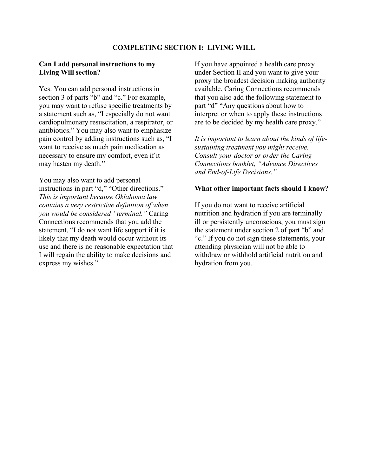#### **Can I add personal instructions to my Living Will section?**

Yes. You can add personal instructions in section 3 of parts "b" and "c." For example, you may want to refuse specific treatments by a statement such as, "I especially do not want cardiopulmonary resuscitation, a respirator, or antibiotics." You may also want to emphasize pain control by adding instructions such as, "I want to receive as much pain medication as necessary to ensure my comfort, even if it may hasten my death."

You may also want to add personal instructions in part "d," "Other directions." *This is important because Oklahoma law contains a very restrictive definition of when you would be considered "terminal."* Caring Connections recommends that you add the statement, "I do not want life support if it is likely that my death would occur without its use and there is no reasonable expectation that I will regain the ability to make decisions and express my wishes."

If you have appointed a health care proxy under Section II and you want to give your proxy the broadest decision making authority available, Caring Connections recommends that you also add the following statement to part "d" "Any questions about how to interpret or when to apply these instructions are to be decided by my health care proxy."

*It is important to learn about the kinds of lifesustaining treatment you might receive. Consult your doctor or order the Caring Connections booklet, "Advance Directives and End-of-Life Decisions."* 

#### **What other important facts should I know?**

If you do not want to receive artificial nutrition and hydration if you are terminally ill or persistently unconscious, you must sign the statement under section 2 of part "b" and "c." If you do not sign these statements, your attending physician will not be able to withdraw or withhold artificial nutrition and hydration from you.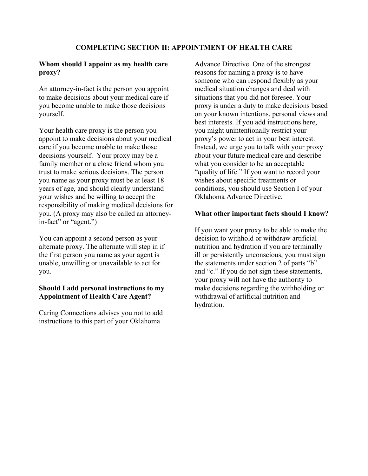#### **Whom should I appoint as my health care proxy?**

An attorney-in-fact is the person you appoint to make decisions about your medical care if you become unable to make those decisions yourself.

Your health care proxy is the person you appoint to make decisions about your medical care if you become unable to make those decisions yourself. Your proxy may be a family member or a close friend whom you trust to make serious decisions. The person you name as your proxy must be at least 18 years of age, and should clearly understand your wishes and be willing to accept the responsibility of making medical decisions for you. (A proxy may also be called an attorneyin-fact" or "agent.")

You can appoint a second person as your alternate proxy. The alternate will step in if the first person you name as your agent is unable, unwilling or unavailable to act for you.

#### **Should I add personal instructions to my Appointment of Health Care Agent?**

Caring Connections advises you not to add instructions to this part of your Oklahoma

Advance Directive. One of the strongest reasons for naming a proxy is to have someone who can respond flexibly as your medical situation changes and deal with situations that you did not foresee. Your proxy is under a duty to make decisions based on your known intentions, personal views and best interests. If you add instructions here, you might unintentionally restrict your proxy's power to act in your best interest. Instead, we urge you to talk with your proxy about your future medical care and describe what you consider to be an acceptable "quality of life." If you want to record your wishes about specific treatments or conditions, you should use Section I of your Oklahoma Advance Directive.

## **What other important facts should I know?**

If you want your proxy to be able to make the decision to withhold or withdraw artificial nutrition and hydration if you are terminally ill or persistently unconscious, you must sign the statements under section 2 of parts "b" and "c." If you do not sign these statements, your proxy will not have the authority to make decisions regarding the withholding or withdrawal of artificial nutrition and hydration.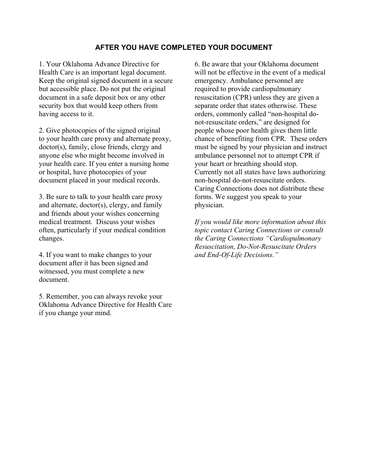## **AFTER YOU HAVE COMPLETED YOUR DOCUMENT**

1. Your Oklahoma Advance Directive for Health Care is an important legal document. Keep the original signed document in a secure but accessible place. Do not put the original document in a safe deposit box or any other security box that would keep others from having access to it.

2. Give photocopies of the signed original to your health care proxy and alternate proxy, doctor(s), family, close friends, clergy and anyone else who might become involved in your health care. If you enter a nursing home or hospital, have photocopies of your document placed in your medical records.

3. Be sure to talk to your health care proxy and alternate, doctor(s), clergy, and family and friends about your wishes concerning medical treatment. Discuss your wishes often, particularly if your medical condition changes.

4. If you want to make changes to your document after it has been signed and witnessed, you must complete a new document.

5. Remember, you can always revoke your Oklahoma Advance Directive for Health Care if you change your mind.

6. Be aware that your Oklahoma document will not be effective in the event of a medical emergency. Ambulance personnel are required to provide cardiopulmonary resuscitation (CPR) unless they are given a separate order that states otherwise. These orders, commonly called "non-hospital donot-resuscitate orders," are designed for people whose poor health gives them little chance of benefiting from CPR. These orders must be signed by your physician and instruct ambulance personnel not to attempt CPR if your heart or breathing should stop. Currently not all states have laws authorizing non-hospital do-not-resuscitate orders. Caring Connections does not distribute these forms. We suggest you speak to your physician.

*If you would like more information about this topic contact Caring Connections or consult the Caring Connections "Cardiopulmonary Resuscitation, Do-Not-Resuscitate Orders and End-Of-Life Decisions."*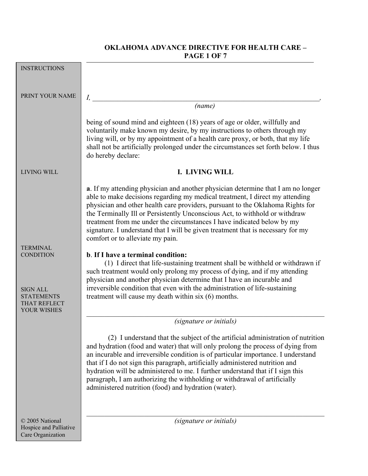# **OKLAHOMA ADVANCE DIRECTIVE FOR HEALTH CARE – PAGE 1 OF 7**

| <b>INSTRUCTIONS</b>                                                                     |                                                                                                                                                                                                                                                                                                                                                                                                                                                                                                                                                                 |  |  |
|-----------------------------------------------------------------------------------------|-----------------------------------------------------------------------------------------------------------------------------------------------------------------------------------------------------------------------------------------------------------------------------------------------------------------------------------------------------------------------------------------------------------------------------------------------------------------------------------------------------------------------------------------------------------------|--|--|
|                                                                                         |                                                                                                                                                                                                                                                                                                                                                                                                                                                                                                                                                                 |  |  |
| PRINT YOUR NAME                                                                         | $I_{\cdot}$                                                                                                                                                                                                                                                                                                                                                                                                                                                                                                                                                     |  |  |
|                                                                                         | (name)                                                                                                                                                                                                                                                                                                                                                                                                                                                                                                                                                          |  |  |
|                                                                                         | being of sound mind and eighteen (18) years of age or older, willfully and<br>voluntarily make known my desire, by my instructions to others through my<br>living will, or by my appointment of a health care proxy, or both, that my life<br>shall not be artificially prolonged under the circumstances set forth below. I thus<br>do hereby declare:                                                                                                                                                                                                         |  |  |
| <b>LIVING WILL</b>                                                                      | <b>I. LIVING WILL</b>                                                                                                                                                                                                                                                                                                                                                                                                                                                                                                                                           |  |  |
|                                                                                         | <b>a</b> . If my attending physician and another physician determine that I am no longer<br>able to make decisions regarding my medical treatment, I direct my attending<br>physician and other health care providers, pursuant to the Oklahoma Rights for<br>the Terminally Ill or Persistently Unconscious Act, to withhold or withdraw<br>treatment from me under the circumstances I have indicated below by my<br>signature. I understand that I will be given treatment that is necessary for my<br>comfort or to alleviate my pain.                      |  |  |
| <b>TERMINAL</b>                                                                         | b. If I have a terminal condition:                                                                                                                                                                                                                                                                                                                                                                                                                                                                                                                              |  |  |
| <b>CONDITION</b><br><b>SIGN ALL</b><br>STATEMENTS<br>THAT REFLECT<br><b>YOUR WISHES</b> | (1) I direct that life-sustaining treatment shall be withheld or withdrawn if<br>such treatment would only prolong my process of dying, and if my attending<br>physician and another physician determine that I have an incurable and<br>irreversible condition that even with the administration of life-sustaining<br>treatment will cause my death within six (6) months.                                                                                                                                                                                    |  |  |
|                                                                                         | (signature or initials)                                                                                                                                                                                                                                                                                                                                                                                                                                                                                                                                         |  |  |
|                                                                                         | (2) I understand that the subject of the artificial administration of nutrition<br>and hydration (food and water) that will only prolong the process of dying from<br>an incurable and irreversible condition is of particular importance. I understand<br>that if I do not sign this paragraph, artificially administered nutrition and<br>hydration will be administered to me. I further understand that if I sign this<br>paragraph, I am authorizing the withholding or withdrawal of artificially<br>administered nutrition (food) and hydration (water). |  |  |
| © 2005 National                                                                         | (signature or initials)                                                                                                                                                                                                                                                                                                                                                                                                                                                                                                                                         |  |  |
| Hospice and Palliative<br>Care Organization                                             |                                                                                                                                                                                                                                                                                                                                                                                                                                                                                                                                                                 |  |  |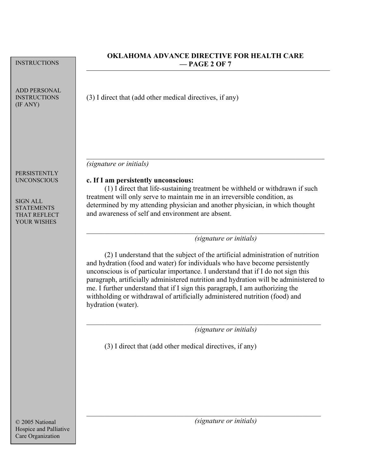| <b>INSTRUCTIONS</b>                                                                                                     | <b>OKLAHOMA ADVANCE DIRECTIVE FOR HEALTH CARE</b><br>$-$ PAGE 2 OF 7                                                                                                                                                                                                                                                                                                                                                                                                                                                                                       |  |
|-------------------------------------------------------------------------------------------------------------------------|------------------------------------------------------------------------------------------------------------------------------------------------------------------------------------------------------------------------------------------------------------------------------------------------------------------------------------------------------------------------------------------------------------------------------------------------------------------------------------------------------------------------------------------------------------|--|
| <b>ADD PERSONAL</b><br><b>INSTRUCTIONS</b><br>(IF ANY)                                                                  | (3) I direct that (add other medical directives, if any)                                                                                                                                                                                                                                                                                                                                                                                                                                                                                                   |  |
| PERSISTENTLY<br><b>UNCONSCIOUS</b><br><b>SIGN ALL</b><br><b>STATEMENTS</b><br><b>THAT REFLECT</b><br><b>YOUR WISHES</b> | <i>(signature or initials)</i><br>c. If I am persistently unconscious:<br>(1) I direct that life-sustaining treatment be withheld or withdrawn if such<br>treatment will only serve to maintain me in an irreversible condition, as<br>determined by my attending physician and another physician, in which thought<br>and awareness of self and environment are absent.                                                                                                                                                                                   |  |
|                                                                                                                         | (signature or initials)<br>(2) I understand that the subject of the artificial administration of nutrition<br>and hydration (food and water) for individuals who have become persistently<br>unconscious is of particular importance. I understand that if I do not sign this<br>paragraph, artificially administered nutrition and hydration will be administered to<br>me. I further understand that if I sign this paragraph, I am authorizing the<br>withholding or withdrawal of artificially administered nutrition (food) and<br>hydration (water). |  |
|                                                                                                                         | <i>(signature or initials)</i><br>(3) I direct that (add other medical directives, if any)                                                                                                                                                                                                                                                                                                                                                                                                                                                                 |  |
|                                                                                                                         |                                                                                                                                                                                                                                                                                                                                                                                                                                                                                                                                                            |  |
| © 2005 National<br>Hospice and Palliative<br>Care Organization                                                          | (signature or initials)                                                                                                                                                                                                                                                                                                                                                                                                                                                                                                                                    |  |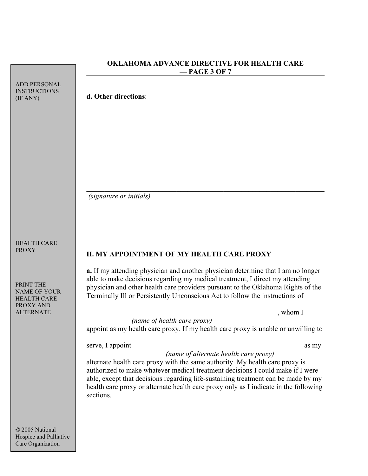|                                                     | - PAGE 3 OF 7                                                                                                                                                       |  |
|-----------------------------------------------------|---------------------------------------------------------------------------------------------------------------------------------------------------------------------|--|
| <b>ADD PERSONAL</b><br><b>INSTRUCTIONS</b>          |                                                                                                                                                                     |  |
| (IF ANY)                                            | d. Other directions:                                                                                                                                                |  |
|                                                     |                                                                                                                                                                     |  |
|                                                     |                                                                                                                                                                     |  |
|                                                     |                                                                                                                                                                     |  |
|                                                     |                                                                                                                                                                     |  |
|                                                     |                                                                                                                                                                     |  |
|                                                     |                                                                                                                                                                     |  |
|                                                     | <i>(signature or initials)</i>                                                                                                                                      |  |
|                                                     |                                                                                                                                                                     |  |
|                                                     |                                                                                                                                                                     |  |
| <b>HEALTH CARE</b>                                  |                                                                                                                                                                     |  |
| <b>PROXY</b>                                        | II. MY APPOINTMENT OF MY HEALTH CARE PROXY                                                                                                                          |  |
|                                                     | a. If my attending physician and another physician determine that I am no longer                                                                                    |  |
| PRINT THE<br><b>NAME OF YOUR</b>                    | able to make decisions regarding my medical treatment, I direct my attending<br>physician and other health care providers pursuant to the Oklahoma Rights of the    |  |
| <b>HEALTH CARE</b><br>PROXY AND<br><b>ALTERNATE</b> | Terminally Ill or Persistently Unconscious Act to follow the instructions of                                                                                        |  |
|                                                     | $,$ whom I<br>(name of health care proxy)                                                                                                                           |  |
|                                                     | appoint as my health care proxy. If my health care proxy is unable or unwilling to                                                                                  |  |
|                                                     | serve, I appoint<br>as my                                                                                                                                           |  |
|                                                     | (name of alternate health care proxy)<br>alternate health care proxy with the same authority. My health care proxy is                                               |  |
|                                                     | authorized to make whatever medical treatment decisions I could make if I were<br>able, except that decisions regarding life-sustaining treatment can be made by my |  |
|                                                     | health care proxy or alternate health care proxy only as I indicate in the following                                                                                |  |
|                                                     | sections.                                                                                                                                                           |  |
|                                                     |                                                                                                                                                                     |  |
| © 2005 National                                     |                                                                                                                                                                     |  |

**OKLAHOMA ADVANCE DIRECTIVE FOR HEALTH CARE** 

Hospice and Palliative Care Organization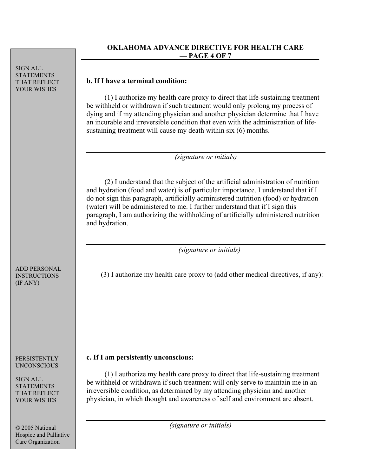SIGN ALL STATEMENTS THAT REFLECT YOUR WISHES

### **OKLAHOMA ADVANCE DIRECTIVE FOR HEALTH CARE — PAGE 4 OF 7**

# **b. If I have a terminal condition:**

 (1) I authorize my health care proxy to direct that life-sustaining treatment be withheld or withdrawn if such treatment would only prolong my process of dying and if my attending physician and another physician determine that I have an incurable and irreversible condition that even with the administration of lifesustaining treatment will cause my death within six (6) months.

 *(signature or initials)* 

 (2) I understand that the subject of the artificial administration of nutrition and hydration (food and water) is of particular importance. I understand that if I do not sign this paragraph, artificially administered nutrition (food) or hydration (water) will be administered to me. I further understand that if I sign this paragraph, I am authorizing the withholding of artificially administered nutrition and hydration.

 *(signature or initials)* 

(3) I authorize my health care proxy to (add other medical directives, if any):

# **c. If I am persistently unconscious:**

 (1) I authorize my health care proxy to direct that life-sustaining treatment be withheld or withdrawn if such treatment will only serve to maintain me in an irreversible condition, as determined by my attending physician and another physician, in which thought and awareness of self and environment are absent.

 *(signature or initials)* 

ADD PERSONAL INSTRUCTIONS (IF ANY)

PERSISTENTLY UNCONSCIOUS

SIGN ALL STATEMENTS THAT REFLECT YOUR WISHES

© 2005 National Hospice and Palliative Care Organization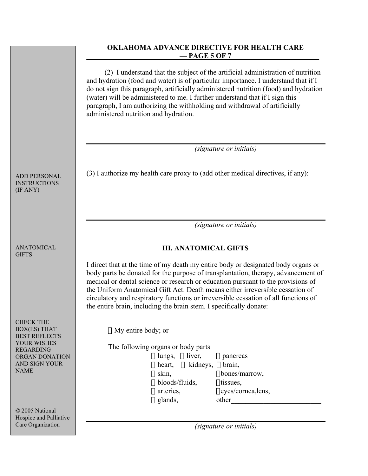## **OKLAHOMA ADVANCE DIRECTIVE FOR HEALTH CARE — PAGE 5 OF 7**

 (2) I understand that the subject of the artificial administration of nutrition and hydration (food and water) is of particular importance. I understand that if I do not sign this paragraph, artificially administered nutrition (food) and hydration (water) will be administered to me. I further understand that if I sign this paragraph, I am authorizing the withholding and withdrawal of artificially administered nutrition and hydration.

 *(signature or initials)* 

(3) I authorize my health care proxy to (add other medical directives, if any):

 *(signature or initials)* 

# **III. ANATOMICAL GIFTS**

I direct that at the time of my death my entire body or designated body organs or body parts be donated for the purpose of transplantation, therapy, advancement of medical or dental science or research or education pursuant to the provisions of the Uniform Anatomical Gift Act. Death means either irreversible cessation of circulatory and respiratory functions or irreversible cessation of all functions of the entire brain, including the brain stem. I specifically donate:

□ My entire body; or

The following organs or body parts  $\Box$  lungs,  $\Box$  liver,  $\Box$  pancreas  $\Box$  heart,  $\Box$  kidneys,  $\Box$  brain,

 $\Box$  glands, other

 $\Box$  skin,  $\Box$  bones/marrow,  $\Box$  bloods/fluids,  $\Box$  tissues, arteries, eyes/cornea,lens,

 *(signature or initials)* 

ADD PERSONAL INSTRUCTIONS (IF ANY)

ANATOMICAL **GIFTS** 

CHECK THE BOX(ES) THAT BEST REFLECTS YOUR WISHES REGARDING ORGAN DONATION AND SIGN YOUR NAME

© 2005 National Hospice and Palliative Care Organization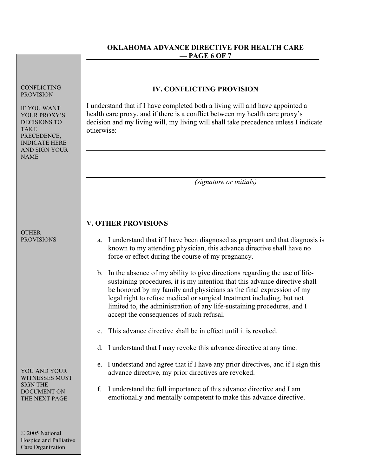# **OKLAHOMA ADVANCE DIRECTIVE FOR HEALTH CARE — PAGE 6 OF 7**

| <b>CONFLICTING</b><br><b>PROVISION</b><br><b>IF YOU WANT</b><br>YOUR PROXY'S<br><b>DECISIONS TO</b><br><b>TAKE</b><br>PRECEDENCE,<br><b>INDICATE HERE</b><br><b>AND SIGN YOUR</b><br><b>NAME</b> | <b>IV. CONFLICTING PROVISION</b><br>I understand that if I have completed both a living will and have appointed a<br>health care proxy, and if there is a conflict between my health care proxy's<br>decision and my living will, my living will shall take precedence unless I indicate<br>otherwise:                                                                                                                                                                                                                                                                                                                                                                                                                                                                    |  |
|--------------------------------------------------------------------------------------------------------------------------------------------------------------------------------------------------|---------------------------------------------------------------------------------------------------------------------------------------------------------------------------------------------------------------------------------------------------------------------------------------------------------------------------------------------------------------------------------------------------------------------------------------------------------------------------------------------------------------------------------------------------------------------------------------------------------------------------------------------------------------------------------------------------------------------------------------------------------------------------|--|
|                                                                                                                                                                                                  | <i>(signature or initials)</i>                                                                                                                                                                                                                                                                                                                                                                                                                                                                                                                                                                                                                                                                                                                                            |  |
| <b>OTHER</b><br><b>PROVISIONS</b>                                                                                                                                                                | <b>V. OTHER PROVISIONS</b><br>a. I understand that if I have been diagnosed as pregnant and that diagnosis is<br>known to my attending physician, this advance directive shall have no<br>force or effect during the course of my pregnancy.<br>b. In the absence of my ability to give directions regarding the use of life-<br>sustaining procedures, it is my intention that this advance directive shall<br>be honored by my family and physicians as the final expression of my<br>legal right to refuse medical or surgical treatment including, but not<br>limited to, the administration of any life-sustaining procedures, and I<br>accept the consequences of such refusal.<br>This advance directive shall be in effect until it is revoked.<br>$\mathbf{c}$ . |  |
| YOU AND YOUR<br>WITNESSES MUST<br><b>SIGN THE</b><br><b>DOCUMENT ON</b><br>THE NEXT PAGE<br>© 2005 National<br>Hospice and Palliative<br>Care Organization                                       | d. I understand that I may revoke this advance directive at any time.<br>I understand and agree that if I have any prior directives, and if I sign this<br>e.<br>advance directive, my prior directives are revoked.<br>I understand the full importance of this advance directive and I am<br>f.<br>emotionally and mentally competent to make this advance directive.                                                                                                                                                                                                                                                                                                                                                                                                   |  |